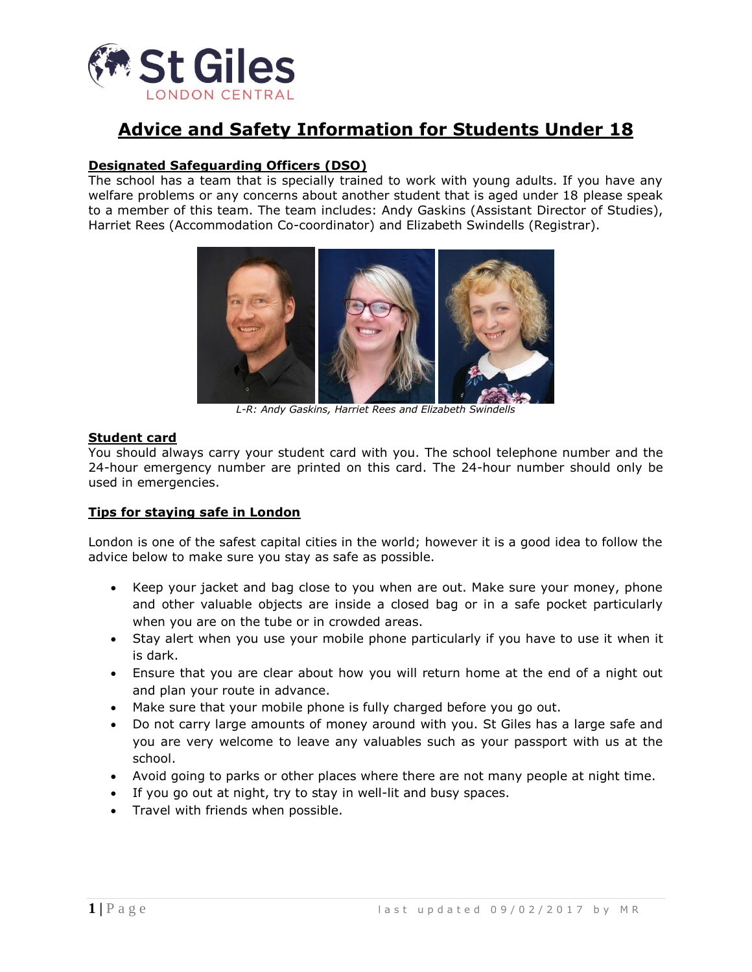

# **Advice and Safety Information for Students Under 18**

# **Designated Safeguarding Officers (DSO)**

The school has a team that is specially trained to work with young adults. If you have any welfare problems or any concerns about another student that is aged under 18 please speak to a member of this team. The team includes: Andy Gaskins (Assistant Director of Studies), Harriet Rees (Accommodation Co-coordinator) and Elizabeth Swindells (Registrar).



*L-R: Andy Gaskins, Harriet Rees and Elizabeth Swindells*

#### **Student card**

You should always carry your student card with you. The school telephone number and the 24-hour emergency number are printed on this card. The 24-hour number should only be used in emergencies.

#### **Tips for staying safe in London**

London is one of the safest capital cities in the world; however it is a good idea to follow the advice below to make sure you stay as safe as possible.

- Keep your jacket and bag close to you when are out. Make sure your money, phone and other valuable objects are inside a closed bag or in a safe pocket particularly when you are on the tube or in crowded areas.
- Stay alert when you use your mobile phone particularly if you have to use it when it is dark.
- Ensure that you are clear about how you will return home at the end of a night out and plan your route in advance.
- Make sure that your mobile phone is fully charged before you go out.
- Do not carry large amounts of money around with you. St Giles has a large safe and you are very welcome to leave any valuables such as your passport with us at the school.
- Avoid going to parks or other places where there are not many people at night time.
- If you go out at night, try to stay in well-lit and busy spaces.
- Travel with friends when possible.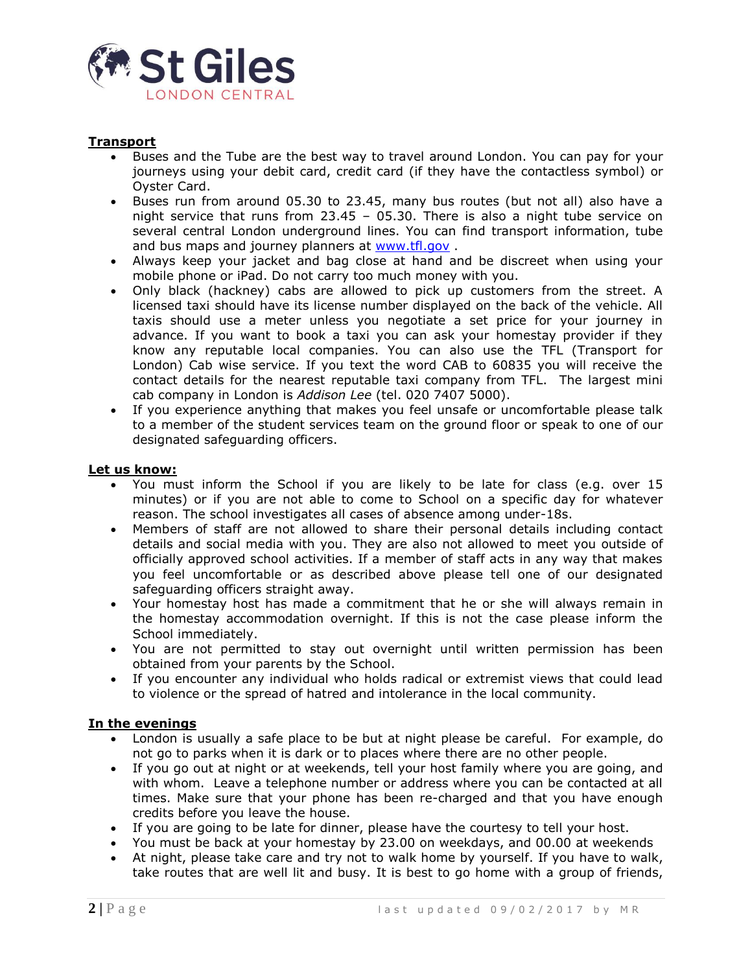

# **Transport**

- Buses and the Tube are the best way to travel around London. You can pay for your journeys using your debit card, credit card (if they have the contactless symbol) or Oyster Card.
- Buses run from around 05.30 to 23.45, many bus routes (but not all) also have a night service that runs from 23.45 – 05.30. There is also a night tube service on several central London underground lines. You can find transport information, tube and bus maps and journey planners at [www.tfl.gov](http://www.tfl.gov/) .
- Always keep your jacket and bag close at hand and be discreet when using your mobile phone or iPad. Do not carry too much money with you.
- Only black (hackney) cabs are allowed to pick up customers from the street. A licensed taxi should have its license number displayed on the back of the vehicle. All taxis should use a meter unless you negotiate a set price for your journey in advance. If you want to book a taxi you can ask your homestay provider if they know any reputable local companies. You can also use the TFL (Transport for London) Cab wise service. If you text the word CAB to 60835 you will receive the contact details for the nearest reputable taxi company from TFL. The largest mini cab company in London is *Addison Lee* (tel. 020 7407 5000).
- If you experience anything that makes you feel unsafe or uncomfortable please talk to a member of the student services team on the ground floor or speak to one of our designated safeguarding officers.

#### **Let us know:**

- You must inform the School if you are likely to be late for class (e.g. over 15 minutes) or if you are not able to come to School on a specific day for whatever reason. The school investigates all cases of absence among under-18s.
- Members of staff are not allowed to share their personal details including contact details and social media with you. They are also not allowed to meet you outside of officially approved school activities. If a member of staff acts in any way that makes you feel uncomfortable or as described above please tell one of our designated safeguarding officers straight away.
- Your homestay host has made a commitment that he or she will always remain in the homestay accommodation overnight. If this is not the case please inform the School immediately.
- You are not permitted to stay out overnight until written permission has been obtained from your parents by the School.
- If you encounter any individual who holds radical or extremist views that could lead to violence or the spread of hatred and intolerance in the local community.

#### **In the evenings**

- London is usually a safe place to be but at night please be careful. For example, do not go to parks when it is dark or to places where there are no other people.
- If you go out at night or at weekends, tell your host family where you are going, and with whom. Leave a telephone number or address where you can be contacted at all times. Make sure that your phone has been re-charged and that you have enough credits before you leave the house.
- If you are going to be late for dinner, please have the courtesy to tell your host.
- You must be back at your homestay by 23.00 on weekdays, and 00.00 at weekends
- At night, please take care and try not to walk home by yourself. If you have to walk, take routes that are well lit and busy. It is best to go home with a group of friends,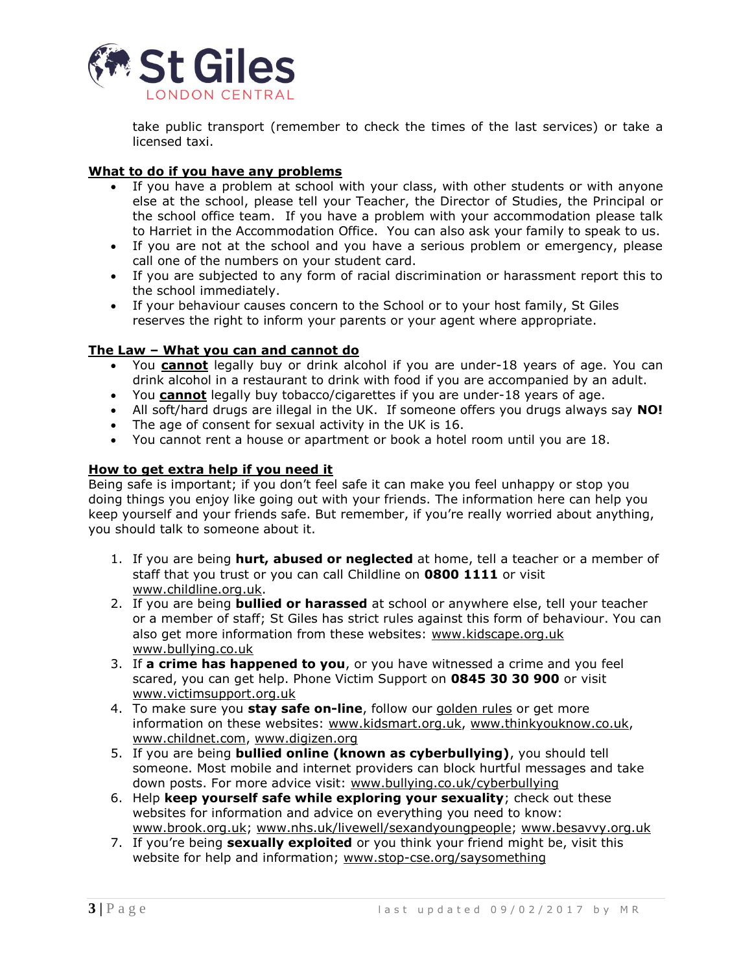

take public transport (remember to check the times of the last services) or take a licensed taxi.

# **What to do if you have any problems**

- If you have a problem at school with your class, with other students or with anyone else at the school, please tell your Teacher, the Director of Studies, the Principal or the school office team. If you have a problem with your accommodation please talk to Harriet in the Accommodation Office. You can also ask your family to speak to us.
- If you are not at the school and you have a serious problem or emergency, please call one of the numbers on your student card.
- If you are subjected to any form of racial discrimination or harassment report this to the school immediately.
- If your behaviour causes concern to the School or to your host family, St Giles reserves the right to inform your parents or your agent where appropriate.

#### **The Law – What you can and cannot do**

- You **cannot** legally buy or drink alcohol if you are under-18 years of age. You can drink alcohol in a restaurant to drink with food if you are accompanied by an adult.
- You **cannot** legally buy tobacco/cigarettes if you are under-18 years of age.
- All soft/hard drugs are illegal in the UK. If someone offers you drugs always say **NO!**
- The age of consent for sexual activity in the UK is 16.
- You cannot rent a house or apartment or book a hotel room until you are 18.

#### **How to get extra help if you need it**

Being safe is important; if you don't feel safe it can make you feel unhappy or stop you doing things you enjoy like going out with your friends. The information here can help you keep yourself and your friends safe. But remember, if you're really worried about anything, you should talk to someone about it.

- 1. If you are being **hurt, abused or neglected** at home, tell a teacher or a member of staff that you trust or you can call Childline on **0800 1111** or visit [www.childline.org.uk.](http://www.childline.org.uk/)
- 2. If you are being **bullied or harassed** at school or anywhere else, tell your teacher or a member of staff; St Giles has strict rules against this form of behaviour. You can also get more information from these websites: [www.kidscape.org.uk](https://www.kidscape.org.uk/) [www.bullying.co.uk](http://www.bullying.co.uk/)
- 3. If **a crime has happened to you**, or you have witnessed a crime and you feel scared, you can get help. Phone Victim Support on **0845 30 30 900** or visit [www.victimsupport.org.uk](https://www.victimsupport.org.uk/)
- 4. To make sure you **stay safe on-line**, follow our [golden rules](http://www.cscb-new.co.uk/downloads/news/247%2019%20internet%20safety%20youths%20HR.pdf) or get more information on these websites: [www.kidsmart.org.uk,](http://www.kidsmart.org.uk/) [www.thinkyouknow.co.uk,](http://www.thinkyouknow.co.uk/) [www.childnet.com,](http://www.childnet.com/) [www.digizen.org](http://www.digizen.org/)
- 5. If you are being **bullied online (known as cyberbullying)**, you should tell someone. Most mobile and internet providers can block hurtful messages and take down posts. For more advice visit: [www.bullying.co.uk/cyberbullying](http://www.bullying.co.uk/cyberbullying/)
- 6. Help **keep yourself safe while exploring your sexuality**; check out these websites for information and advice on everything you need to know: [www.brook.org.uk;](https://www.brook.org.uk/) [www.nhs.uk/livewell/sexandyoungpeople;](http://www.nhs.uk/livewell/sexandyoungpeople/Pages/Sex-and-young-people-hub.aspx) [www.besavvy.org.uk](http://www.besavvy.org.uk/)
- 7. If you're being **sexually exploited** or you think your friend might be, visit this website for help and information; [www.stop-cse.org/saysomething](http://www.stop-cse.org/saysomething/)